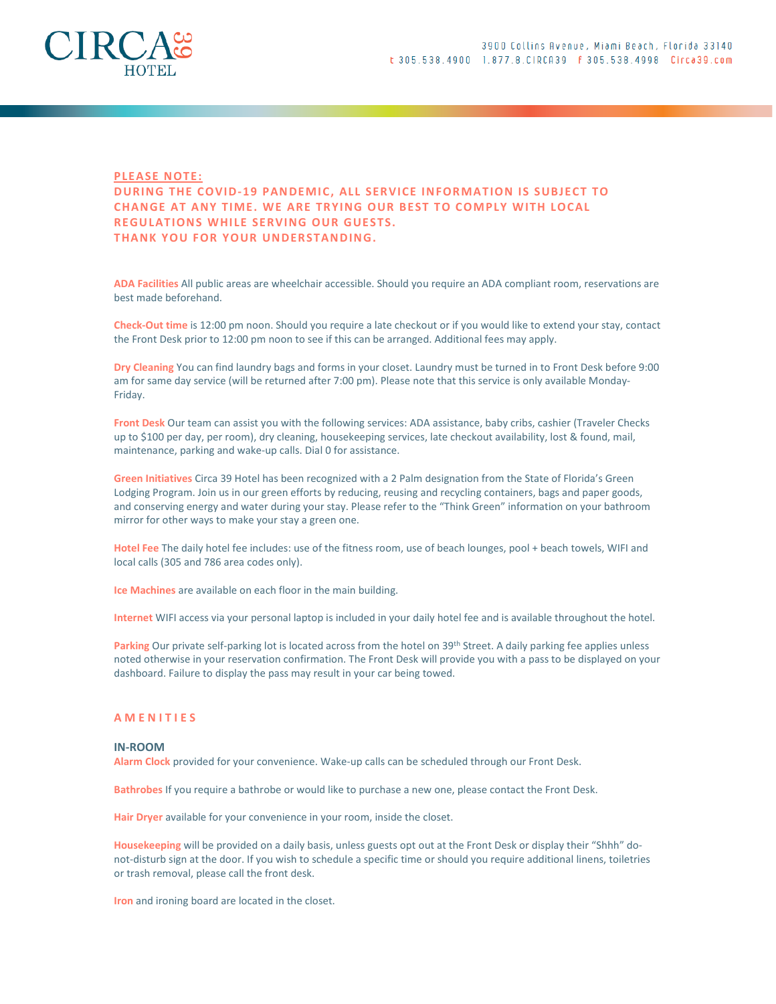

## **PLEASE NOTE:**

# DURING THE COVID-19 PANDEMIC, ALL SERVICE INFORMATION IS SUBJECT TO CHANGE AT ANY TIME. WE ARE TRYING OUR BEST TO COMPLY WITH LOCAL REGULATIONS WHILE SERVING OUR GUESTS. THANK YOU FOR YOUR UNDERSTANDING.

ADA Facilities All public areas are wheelchair accessible. Should you require an ADA compliant room, reservations are best made beforehand.

Check-Out time is 12:00 pm noon. Should you require a late checkout or if you would like to extend your stay, contact the Front Desk prior to 12:00 pm noon to see if this can be arranged. Additional fees may apply.

Dry Cleaning You can find laundry bags and forms in your closet. Laundry must be turned in to Front Desk before 9:00 am for same day service (will be returned after 7:00 pm). Please note that this service is only available Monday-Friday.

Front Desk Our team can assist you with the following services: ADA assistance, baby cribs, cashier (Traveler Checks up to \$100 per day, per room), dry cleaning, housekeeping services, late checkout availability, lost & found, mail, maintenance, parking and wake-up calls. Dial 0 for assistance.

Green Initiatives Circa 39 Hotel has been recognized with a 2 Palm designation from the State of Florida's Green Lodging Program. Join us in our green efforts by reducing, reusing and recycling containers, bags and paper goods, and conserving energy and water during your stay. Please refer to the "Think Green" information on your bathroom mirror for other ways to make your stay a green one.

Hotel Fee The daily hotel fee includes: use of the fitness room, use of beach lounges, pool + beach towels, WIFI and local calls (305 and 786 area codes only).

Ice Machines are available on each floor in the main building.

Internet WIFI access via your personal laptop is included in your daily hotel fee and is available throughout the hotel.

Parking Our private self-parking lot is located across from the hotel on 39<sup>th</sup> Street. A daily parking fee applies unless noted otherwise in your reservation confirmation. The Front Desk will provide you with a pass to be displayed on your dashboard. Failure to display the pass may result in your car being towed.

# A M E N I T I E S

#### IN-ROOM

Alarm Clock provided for your convenience. Wake-up calls can be scheduled through our Front Desk.

Bathrobes If you require a bathrobe or would like to purchase a new one, please contact the Front Desk.

Hair Dryer available for your convenience in your room, inside the closet.

Housekeeping will be provided on a daily basis, unless guests opt out at the Front Desk or display their "Shhh" donot-disturb sign at the door. If you wish to schedule a specific time or should you require additional linens, toiletries or trash removal, please call the front desk.

Iron and ironing board are located in the closet.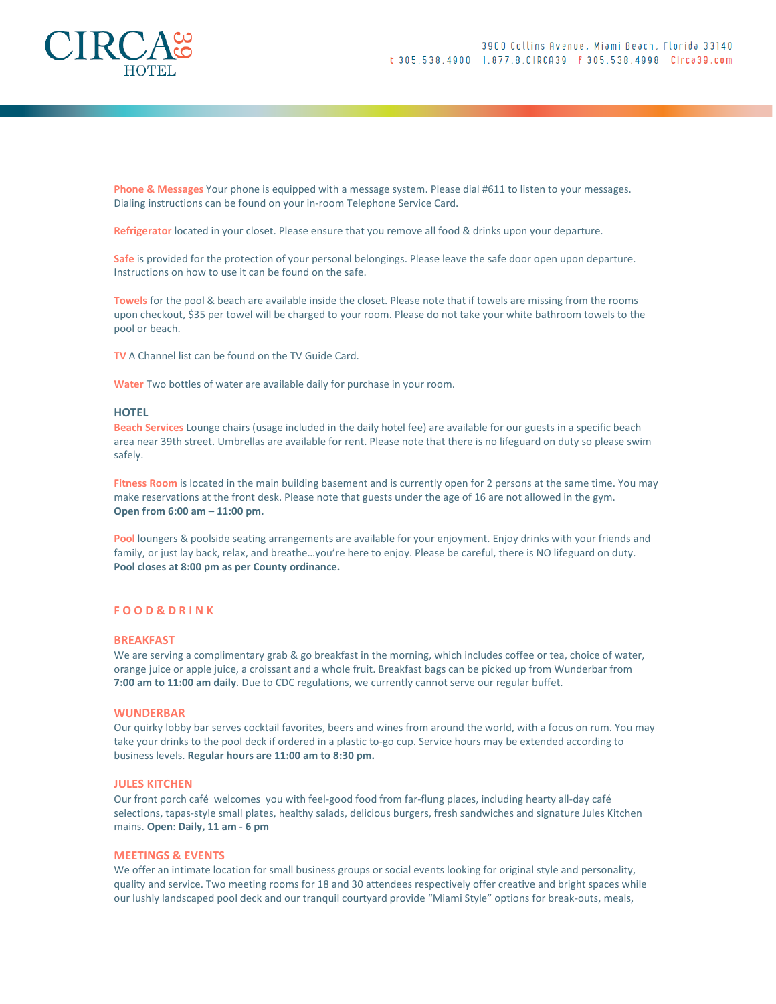

Phone & Messages Your phone is equipped with a message system. Please dial #611 to listen to your messages. Dialing instructions can be found on your in-room Telephone Service Card.

Refrigerator located in your closet. Please ensure that you remove all food & drinks upon your departure.

Safe is provided for the protection of your personal belongings. Please leave the safe door open upon departure. Instructions on how to use it can be found on the safe.

Towels for the pool & beach are available inside the closet. Please note that if towels are missing from the rooms upon checkout, \$35 per towel will be charged to your room. Please do not take your white bathroom towels to the pool or beach.

TV A Channel list can be found on the TV Guide Card.

Water Two bottles of water are available daily for purchase in your room.

# **HOTEL**

Beach Services Lounge chairs (usage included in the daily hotel fee) are available for our guests in a specific beach area near 39th street. Umbrellas are available for rent. Please note that there is no lifeguard on duty so please swim safely.

Fitness Room is located in the main building basement and is currently open for 2 persons at the same time. You may make reservations at the front desk. Please note that guests under the age of 16 are not allowed in the gym. Open from 6:00 am – 11:00 pm.

Pool loungers & poolside seating arrangements are available for your enjoyment. Enjoy drinks with your friends and family, or just lay back, relax, and breathe…you're here to enjoy. Please be careful, there is NO lifeguard on duty. Pool closes at 8:00 pm as per County ordinance.

## F O O D & D R I N K

#### BREAKFAST

We are serving a complimentary grab & go breakfast in the morning, which includes coffee or tea, choice of water, orange juice or apple juice, a croissant and a whole fruit. Breakfast bags can be picked up from Wunderbar from 7:00 am to 11:00 am daily. Due to CDC regulations, we currently cannot serve our regular buffet.

## **WUNDERBAR**

Our quirky lobby bar serves cocktail favorites, beers and wines from around the world, with a focus on rum. You may take your drinks to the pool deck if ordered in a plastic to-go cup. Service hours may be extended according to business levels. Regular hours are 11:00 am to 8:30 pm.

#### JULES KITCHEN

Our front porch café welcomes you with feel-good food from far-flung places, including hearty all-day café selections, tapas-style small plates, healthy salads, delicious burgers, fresh sandwiches and signature Jules Kitchen mains. Open: Daily, 11 am - 6 pm

## MEETINGS & EVENTS

We offer an intimate location for small business groups or social events looking for original style and personality, quality and service. Two meeting rooms for 18 and 30 attendees respectively offer creative and bright spaces while our lushly landscaped pool deck and our tranquil courtyard provide "Miami Style" options for break-outs, meals,